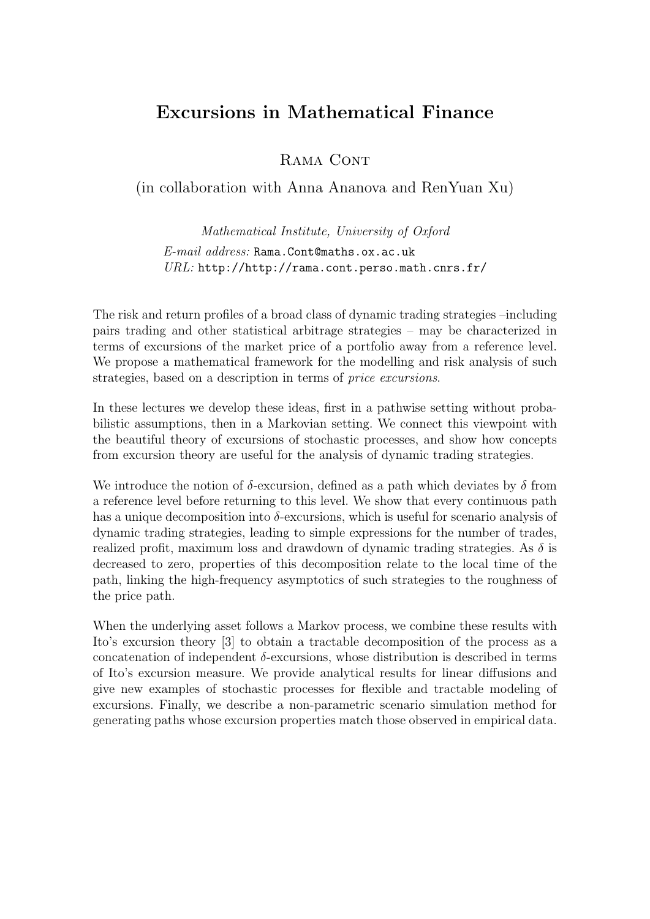## Excursions in Mathematical Finance

RAMA CONT

(in collaboration with Anna Ananova and RenYuan Xu)

Mathematical Institute, University of Oxford E-mail address: Rama.Cont@maths.ox.ac.uk URL: http://http://rama.cont.perso.math.cnrs.fr/

The risk and return profiles of a broad class of dynamic trading strategies –including pairs trading and other statistical arbitrage strategies – may be characterized in terms of excursions of the market price of a portfolio away from a reference level. We propose a mathematical framework for the modelling and risk analysis of such strategies, based on a description in terms of price excursions.

In these lectures we develop these ideas, first in a pathwise setting without probabilistic assumptions, then in a Markovian setting. We connect this viewpoint with the beautiful theory of excursions of stochastic processes, and show how concepts from excursion theory are useful for the analysis of dynamic trading strategies.

We introduce the notion of  $\delta$ -excursion, defined as a path which deviates by  $\delta$  from a reference level before returning to this level. We show that every continuous path has a unique decomposition into  $\delta$ -excursions, which is useful for scenario analysis of dynamic trading strategies, leading to simple expressions for the number of trades, realized profit, maximum loss and drawdown of dynamic trading strategies. As  $\delta$  is decreased to zero, properties of this decomposition relate to the local time of the path, linking the high-frequency asymptotics of such strategies to the roughness of the price path.

When the underlying asset follows a Markov process, we combine these results with Ito's excursion theory [3] to obtain a tractable decomposition of the process as a concatenation of independent  $\delta$ -excursions, whose distribution is described in terms of Ito's excursion measure. We provide analytical results for linear diffusions and give new examples of stochastic processes for flexible and tractable modeling of excursions. Finally, we describe a non-parametric scenario simulation method for generating paths whose excursion properties match those observed in empirical data.